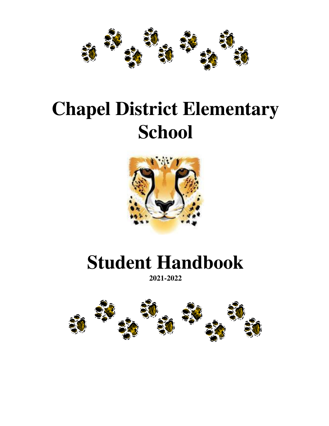

# **Chapel District Elementary School**



## **Student Handbook**

**2021-2022**

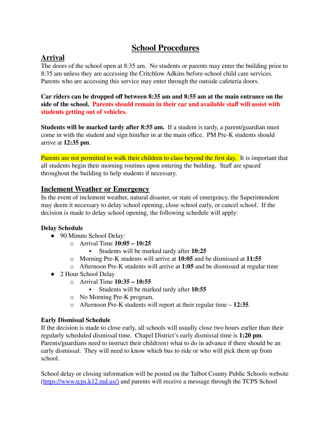## **School Procedures**

### **Arrival**

The doors of the school open at 8:35 am. No students or parents may enter the building prior to 8:35 am unless they are accessing the Critchlow Adkins before-school child care services. Parents who are accessing this service may enter through the outside cafeteria doors.

**Car riders can be dropped off between 8:35 am and 8:55 am at the main entrance on the side of the school. Parents should remain in their car and available staff will assist with students getting out of vehicles.**

**Students will be marked tardy after 8:55 am.** If a student is tardy, a parent/guardian must come in with the student and sign him/her in at the main office. PM Pre-K students should arrive at **12:35 pm**.

Parents are not permitted to walk their children to class beyond the first day. It is important that all students begin their morning routines upon entering the building. Staff are spaced throughout the building to help students if necessary.

#### **Inclement Weather or Emergency**

In the event of inclement weather, natural disaster, or state of emergency, the Superintendent may deem it necessary to delay school opening, close school early, or cancel school. If the decision is made to delay school opening, the following schedule will apply:

#### **Delay Schedule**

- 90 Minute School Delay:
	- o Arrival Time **10:05 – 10:25**
		- Students will be marked tardy after **10:25**
	- o Morning Pre-K students will arrive at **10:05** and be dismissed at **11:55**
	- o Afternoon Pre-K students will arrive at **1:05** and be dismissed at regular time
- 2 Hour School Delay
	- o Arrival Time **10:35 – 10:55**
		- Students will be marked tardy after **10:55**
	- o No Morning Pre-K program.
	- o Afternoon Pre-K students will report at their regular time **12:35**.

#### **Early Dismissal Schedule**

If the decision is made to close early, all schools will usually close two hours earlier than their regularly scheduled dismissal time. Chapel District's early dismissal time is **1:20 pm**. Parents/guardians need to instruct their child(ren) what to do in advance if there should be an early dismissal. They will need to know which bus to ride or who will pick them up from school.

School delay or closing information will be posted on the Talbot County Public Schools website [\(https://www.tcps.k12.md.us/\)](https://www.tcps.k12.md.us/)) and parents will receive a message through the TCPS School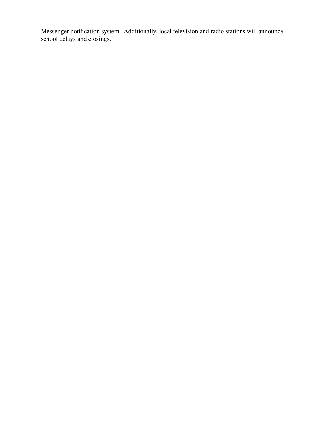Messenger notification system. Additionally, local television and radio stations will announce school delays and closings.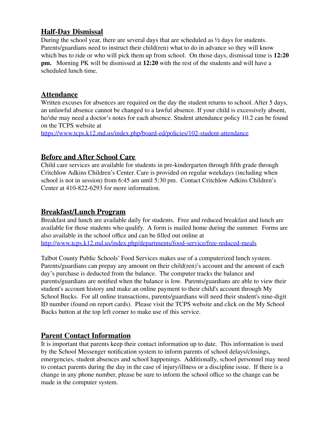#### **Half-Day Dismissal**

During the school year, there are several days that are scheduled as ½ days for students. Parents/guardians need to instruct their child(ren) what to do in advance so they will know which bus to ride or who will pick them up from school. On those days, dismissal time is **12:20 pm.** Morning PK will be dismissed at **12:20** with the rest of the students and will have a scheduled lunch time.

#### **Attendance**

Written excuses for absences are required on the day the student returns to school. After 5 days, an unlawful absence cannot be changed to a lawful absence. If your child is excessively absent, he/she may need a doctor's notes for each absence. Student attendance policy 10.2 can be found on the TCPS website at

<https://www.tcps.k12.md.us/index.php/board-ed/policies/102-student-attendance>

#### **Before and After School Care**

Child care services are available for students in pre-kindergarten through fifth grade through Critchlow Adkins Children's Center. Care is provided on regular weekdays (including when school is not in session) from 6:45 am until 5:30 pm. Contact Critchlow Adkins Children's Center at 410-822-6293 for more information.

#### **Breakfast/Lunch Program**

Breakfast and lunch are available daily for students. Free and reduced breakfast and lunch are available for those students who qualify. A form is mailed home during the summer. Forms are also available in the school office and can be filled out online at <http://www.tcps.k12.md.us/index.php/departments/food-service/free-reduced-meals>

Talbot County Public Schools' Food Services makes use of a computerized lunch system. Parents/guardians can prepay any amount on their child(ren)'s account and the amount of each day's purchase is deducted from the balance. The computer tracks the balance and parents/guardians are notified when the balance is low. Parents/guardians are able to view their student's account history and make an online payment to their child's account through My School Bucks. For all online transactions, parents/guardians will need their student's nine-digit ID number (found on report cards). Please visit the TCPS website and click on the My School Bucks button at the top left corner to make use of this service.

## **Parent Contact Information**

It is important that parents keep their contact information up to date. This information is used by the School Messenger notification system to inform parents of school delays/closings, emergencies, student absences and school happenings. Additionally, school personnel may need to contact parents during the day in the case of injury/illness or a discipline issue. If there is a change in any phone number, please be sure to inform the school office so the change can be made in the computer system.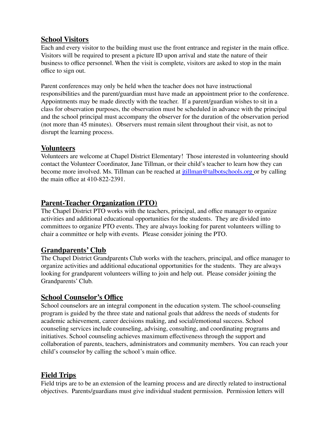#### **School Visitors**

Each and every visitor to the building must use the front entrance and register in the main office. Visitors will be required to present a picture ID upon arrival and state the nature of their business to office personnel. When the visit is complete, visitors are asked to stop in the main office to sign out.

Parent conferences may only be held when the teacher does not have instructional responsibilities and the parent/guardian must have made an appointment prior to the conference. Appointments may be made directly with the teacher. If a parent/guardian wishes to sit in a class for observation purposes, the observation must be scheduled in advance with the principal and the school principal must accompany the observer for the duration of the observation period (not more than 45 minutes). Observers must remain silent throughout their visit, as not to disrupt the learning process.

#### **Volunteers**

Volunteers are welcome at Chapel District Elementary! Those interested in volunteering should contact the Volunteer Coordinator, Jane Tillman, or their child's teacher to learn how they can become more involved. Ms. Tillman can be reached at *itillman@talbotschools.org* or by calling the main office at 410-822-2391.

## **Parent-Teacher Organization (PTO)**

The Chapel District PTO works with the teachers, principal, and office manager to organize activities and additional educational opportunities for the students. They are divided into committees to organize PTO events. They are always looking for parent volunteers willing to chair a committee or help with events. Please consider joining the PTO.

#### **Grandparents' Club**

The Chapel District Grandparents Club works with the teachers, principal, and office manager to organize activities and additional educational opportunities for the students. They are always looking for grandparent volunteers willing to join and help out. Please consider joining the Grandparents' Club.

#### **School Counselor's Office**

School counselors are an integral component in the education system. The school-counseling program is guided by the three state and national goals that address the needs of students for academic achievement, career decisions making, and social/emotional success. School counseling services include counseling, advising, consulting, and coordinating programs and initiatives. School counseling achieves maximum effectiveness through the support and collaboration of parents, teachers, administrators and community members. You can reach your child's counselor by calling the school's main office.

## **Field Trips**

Field trips are to be an extension of the learning process and are directly related to instructional objectives. Parents/guardians must give individual student permission. Permission letters will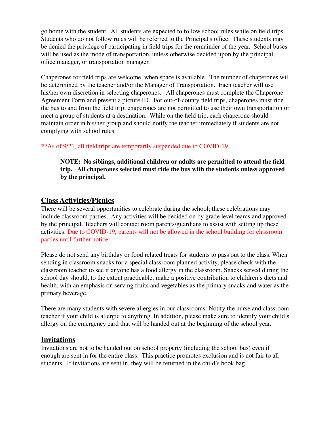go home with the student. All students are expected to follow school rules while on field trips. Students who do not follow rules will be referred to the Principal's office. These students may be denied the privilege of participating in field trips for the remainder of the year. School buses will be used as the mode of transportation, unless otherwise decided upon by the principal, office manager, or transportation manager.

Chaperones for field trips are welcome, when space is available. The number of chaperones will be determined by the teacher and/or the Manager of Transportation. Each teacher will use his/her own discretion in selecting chaperones. All chaperones must complete the Chaperone Agreement Form and present a picture ID. For out-of-county field trips, chaperones must ride the bus to and from the field trip; chaperones are not permitted to use their own transportation or meet a group of students at a destination. While on the field trip, each chaperone should maintain order in his/her group and should notify the teacher immediately if students are not complying with school rules.

#### \*\*As of 9/21, all field trips are temporarily suspended due to COVID-19.

**NOTE: No siblings, additional children or adults are permitted to attend the field trip. All chaperones selected must ride the bus with the students unless approved by the principal.**

#### **Class Activities/Picnics**

There will be several opportunities to celebrate during the school; these celebrations may include classroom parties. Any activities will be decided on by grade level teams and approved by the principal. Teachers will contact room parents/guardians to assist with setting up these activities. Due to COVID-19, parents will not be allowed in the school building for classroom parties until further notice.

Please do not send any birthday or food related treats for students to pass out to the class. When sending in classroom snacks for a special classroom planned activity, please check with the classroom teacher to see if anyone has a food allergy in the classroom. Snacks served during the school day should, to the extent practicable, make a positive contribution to children's diets and health, with an emphasis on serving fruits and vegetables as the primary snacks and water as the primary beverage.

There are many students with severe allergies in our classrooms. Notify the nurse and classroom teacher if your child is allergic to anything. In addition, please make sure to identify your child's allergy on the emergency card that will be handed out at the beginning of the school year.

#### **Invitations**

Invitations are not to be handed out on school property (including the school bus) even if enough are sent in for the entire class. This practice promotes exclusion and is not fair to all students. If invitations are sent in, they will be returned in the child's book bag.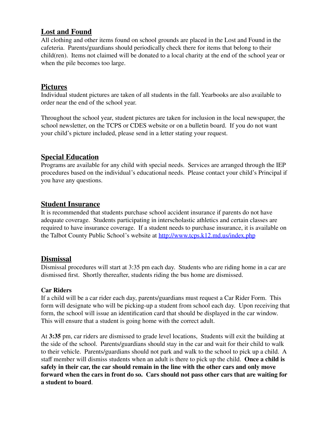## **Lost and Found**

All clothing and other items found on school grounds are placed in the Lost and Found in the cafeteria. Parents/guardians should periodically check there for items that belong to their child(ren). Items not claimed will be donated to a local charity at the end of the school year or when the pile becomes too large.

## **Pictures**

Individual student pictures are taken of all students in the fall. Yearbooks are also available to order near the end of the school year.

Throughout the school year, student pictures are taken for inclusion in the local newspaper, the school newsletter, on the TCPS or CDES website or on a bulletin board. If you do not want your child's picture included, please send in a letter stating your request.

## **Special Education**

Programs are available for any child with special needs. Services are arranged through the IEP procedures based on the individual's educational needs. Please contact your child's Principal if you have any questions.

#### **Student Insurance**

It is recommended that students purchase school accident insurance if parents do not have adequate coverage. Students participating in interscholastic athletics and certain classes are required to have insurance coverage. If a student needs to purchase insurance, it is available on the Talbot County Public School's website at <http://www.tcps.k12.md.us/index.php>

#### **Dismissal**

Dismissal procedures will start at 3:35 pm each day. Students who are riding home in a car are dismissed first. Shortly thereafter, students riding the bus home are dismissed.

#### **Car Riders**

If a child will be a car rider each day, parents/guardians must request a Car Rider Form. This form will designate who will be picking-up a student from school each day. Upon receiving that form, the school will issue an identification card that should be displayed in the car window. This will ensure that a student is going home with the correct adult.

At **3:35** pm, car riders are dismissed to grade level locations, Students will exit the building at the side of the school. Parents/guardians should stay in the car and wait for their child to walk to their vehicle. Parents/guardians should not park and walk to the school to pick up a child. A staff member will dismiss students when an adult is there to pick up the child. **Once a child is safely in their car, the car should remain in the line with the other cars and only move forward when the cars in front do so. Cars should not pass other cars that are waiting for a student to board**.